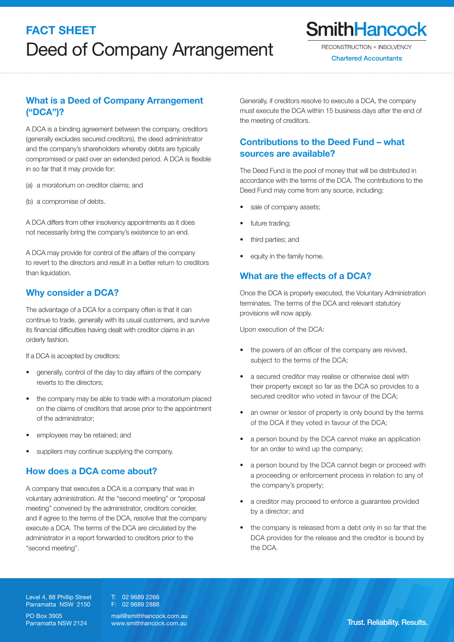# FACT SHEET: Volume Administration of the Administration of the Administration of the Administration of the Administration of the Administration of the Administration of the Administration of the Administration of the Admin Deed of Company Arrangement

**SmithHancock** 

RECONSTRUCTION + INSOLVENCY

**Chartered Accountants** 

# What is a Deed of Company Arrangement ("DCA")?

A DCA is a binding agreement between the company, creditors (generally excludes secured creditors), the deed administrator and the company's shareholders whereby debts are typically compromised or paid over an extended period. A DCA is flexible in so far that it may provide for:

(a) a moratorium on creditor claims; and

(b) a compromise of debts.

A DCA differs from other insolvency appointments as it does not necessarily bring the company's existence to an end.

A DCA may provide for control of the affairs of the company to revert to the directors and result in a better return to creditors than liquidation.

### Why consider a DCA?

The advantage of a DCA for a company often is that it can continue to trade, generally with its usual customers, and survive its financial difficulties having dealt with creditor claims in an orderly fashion.

If a DCA is accepted by creditors:

- generally, control of the day to day affairs of the company reverts to the directors;
- the company may be able to trade with a moratorium placed on the claims of creditors that arose prior to the appointment of the administrator;
- employees may be retained; and
- suppliers may continue supplying the company.

# How does a DCA come about?

A company that executes a DCA is a company that was in voluntary administration. At the "second meeting" or "proposal meeting" convened by the administrator, creditors consider, and if agree to the terms of the DCA, resolve that the company execute a DCA. The terms of the DCA are circulated by the administrator in a report forwarded to creditors prior to the "second meeting".

Generally, if creditors resolve to execute a DCA, the company must execute the DCA within 15 business days after the end of the meeting of creditors.

# Contributions to the Deed Fund – what sources are available?

The Deed Fund is the pool of money that will be distributed in accordance with the terms of the DCA. The contributions to the Deed Fund may come from any source, including:

- sale of company assets;
- future trading;
- third parties; and
- equity in the family home.

### What are the effects of a DCA?

Once the DCA is properly executed, the Voluntary Administration terminates. The terms of the DCA and relevant statutory provisions will now apply.

Upon execution of the DCA:

- the powers of an officer of the company are revived, subject to the terms of the DCA;
- a secured creditor may realise or otherwise deal with their property except so far as the DCA so provides to a secured creditor who voted in favour of the DCA;
- an owner or lessor of property is only bound by the terms of the DCA if they voted in favour of the DCA;
- a person bound by the DCA cannot make an application for an order to wind up the company;
- a person bound by the DCA cannot begin or proceed with a proceeding or enforcement process in relation to any of the company's property;
- • a creditor may proceed to enforce a guarantee provided by a director; and
- the company is released from a debt only in so far that the DCA provides for the release and the creditor is bound by the DCA.

Level 4, 88 Phillip Street Parramatta NSW 2150

PO Box 3905 Parramatta NSW 2124 T: 02 9689 2266 F: 02 9689 2888

mail@smithhancock.com.au www.smithhancock.com.au